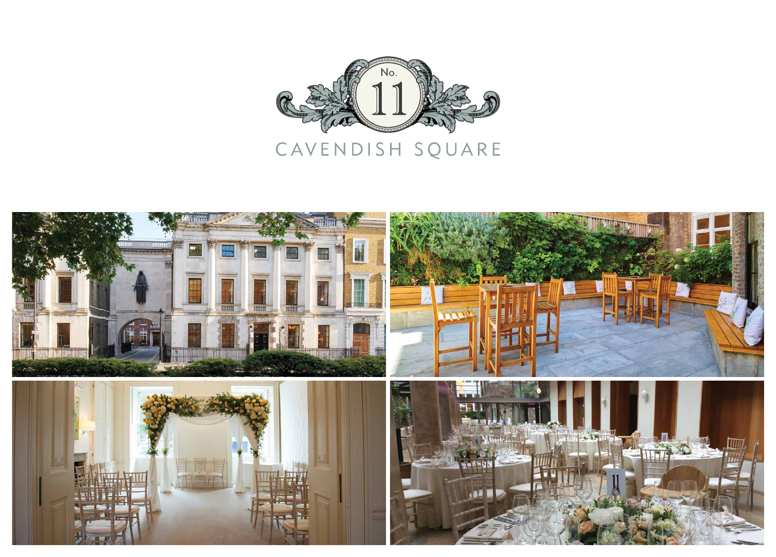